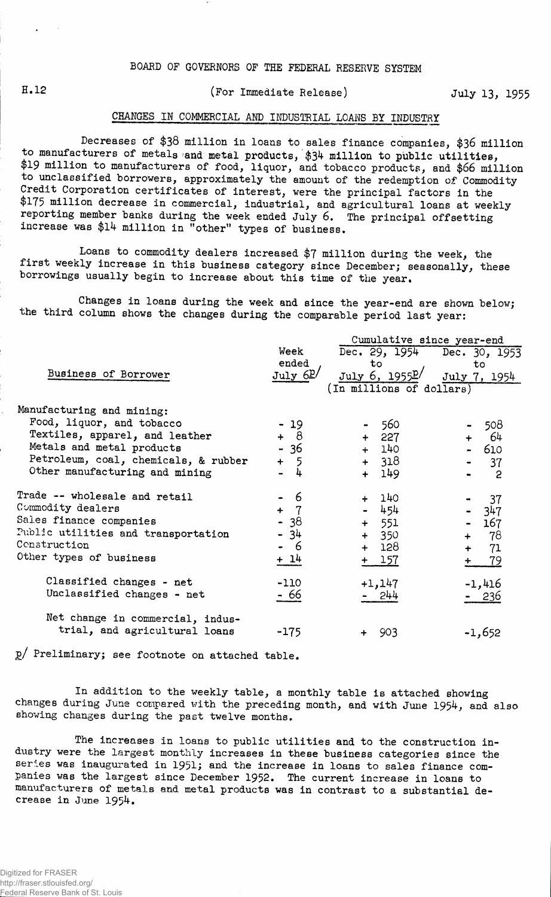# H.12 (For Immediate Release) July 13, 1955

## CHANGES IN COMMERCIAL AMD INDUSTRIAL LOANS BY INDUSTRY

Decreases of **\$38** million in loans to sales finance companies, **\$36** million to manufacturers of metals and metal products, \$34 million to public utilities, \$19 million to manufacturers of food, liquor, and tobacco products, and \$66 million to unclassified borrowers, approximately the amount of the redemption of Commodity Credit Corporation certificates of interest, were the principal factors in the \$175 million decrease in commercial, industrial, and agricultural loans at weekly reporting member banks during the week ended July 6. The principal offsetting increase was \$14 million in "other" types of business.

Loans to commodity dealers increased \$7 million during the week, the first weekly increase in this business category since December; seasonally, these borrowings usually begin to increase about this time of the year.

Changes in loans during the week and since the year-end are shown below; the third column shows the changes during the comparable period last year:

|                                      |                       | Cumulative since year-end   |                            |  |  |  |
|--------------------------------------|-----------------------|-----------------------------|----------------------------|--|--|--|
|                                      | Week                  | Dec. 29, 1954 Dec. 30, 1953 |                            |  |  |  |
|                                      | ended                 | to                          | to                         |  |  |  |
| Business of Borrower                 | July 6P/              | July 6, 1955P/              | July 7, 1954               |  |  |  |
|                                      |                       | (In millions of dollars)    |                            |  |  |  |
| Manufacturing and mining:            |                       |                             |                            |  |  |  |
| Food, liquor, and tobacco            | $-19$                 | 560                         | 508                        |  |  |  |
| Textiles, apparel, and leather       | $+ 8$                 | 227<br>$+$                  | -64                        |  |  |  |
| Metals and metal products            | $-36$                 | + 140                       | - 610                      |  |  |  |
| Petroleum, coal, chemicals, & rubber | + 5                   | $+ 318$                     | 37                         |  |  |  |
| Other manufacturing and mining       | 4                     | + 149                       | $\overline{\phantom{a}}^2$ |  |  |  |
| Trade -- wholesale and retail        | - 6                   | + 140                       | 37                         |  |  |  |
| Commodity dealers                    | $\overline{7}$<br>$+$ | 454<br>$\bullet$ .          | 347                        |  |  |  |
| Sales finance companies              | $-38$                 | $+ 551$                     | 167                        |  |  |  |
| Public utilities and transportation  | - 34                  | $+ 350$                     | + 78                       |  |  |  |
| Construction                         | - 6                   | + 128                       | 71<br>$+$ $-$              |  |  |  |
| Other types of business              | $+ 14$                | $+ 157$                     | 79<br>$+$                  |  |  |  |
| Classified changes - net             | $-110$                | $+1,147$                    | $-1,416$                   |  |  |  |
| Unclassified changes - net           | - 66                  | - 244                       | - 236                      |  |  |  |
| Net change in commercial, indus-     |                       |                             |                            |  |  |  |
| trial, and agricultural loans        | $-175$                | 903                         | $-1,652$                   |  |  |  |

g/ Preliminary; see footnote on attached table.

In addition to the weekly table, a monthly table is attached showing changes during June compared with the preceding month, and with June 1954, and also showing changes during the past twelve months.

The increases in loans to public utilities and to the construction industry were the largest monthly increases in these business categories since the series was inaugurated in 1951; and the increase in loans to sales finance companies was the largest since December 1952. The current increase in loans to manufacturers of metals and metal products was in contrast to a substantial decrease in June 1954.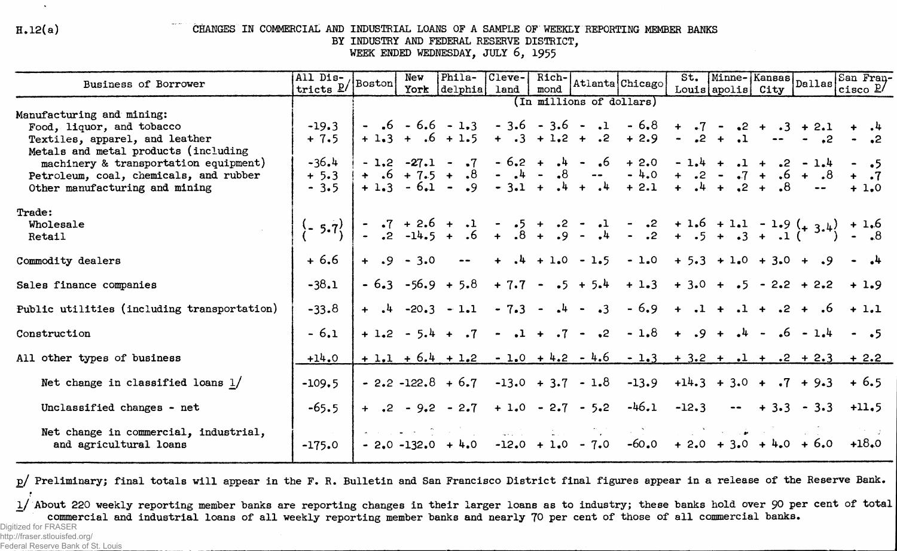$H.12(a)$ 

 $\Delta$ 

### CHANGES IN COMMERCIAL AND INDUSTRIAL LOANS OF A SAMPLE OF WEEKLY REPORTING MEMBER BANKS

BY INDUSTRY AND FEDERAL RESERVE DISTRICT.

WEEK ENDED WEDNESDAY, JULY 6, 1955

| Business of Borrower                                                          | All Dis-<br>tricts $\underline{P}$ Boston | New<br>York   | Phila-<br>delphia                                         | Cleve-<br>land | Rich-<br>mond |                          | Atlanta Chicago                                                                                                                                                    |         | Louis apolis City | St. Minne-Kansas Dallas         | San Fran-<br>cisco $P/$                                                 |
|-------------------------------------------------------------------------------|-------------------------------------------|---------------|-----------------------------------------------------------|----------------|---------------|--------------------------|--------------------------------------------------------------------------------------------------------------------------------------------------------------------|---------|-------------------|---------------------------------|-------------------------------------------------------------------------|
|                                                                               |                                           |               |                                                           |                |               | (In millions of dollars) |                                                                                                                                                                    |         |                   |                                 |                                                                         |
| Manufacturing and mining:<br>Food, liquor, and tobacco                        | $-19.3$                                   |               |                                                           |                |               |                          | $-6 - 6.6 - 1.3 - 3.6 - 3.6 - 1 - 6.8 + .7 - .2 + .3 + 2.1$                                                                                                        |         |                   |                                 |                                                                         |
| Textiles, apparel, and leather                                                | $+7.5$                                    |               |                                                           |                |               |                          | $+1.3 + .6 + 1.5 + .3 + 1.2 + .2 + 2.9 - .2 + .1$                                                                                                                  |         |                   |                                 |                                                                         |
| Metals and metal products (including<br>machinery & transportation equipment) | $-36.4$                                   |               |                                                           |                |               |                          | $-1,2$ $-27,1$ $-7$ $-6,2$ $+$ $-4$ $-6$ $+2,0$ $-1,4$ $+$ $-1$ $+$ $-2$ $-1,4$                                                                                    |         |                   |                                 | $ \cdot$ 5                                                              |
| Petroleum, coal, chemicals, and rubber<br>Other manufacturing and mining      | $+ 5.3$<br>$-3.5$                         |               |                                                           |                |               |                          | $+ 6 + 7.5 + 8 - 4 - 8 - 4.0 + 2 - 7 + 6 + 8$<br>+ 1.3 - 6.1 - .9 - 3.1 + .4 + .4 + 2.1 + .4 + .2 + .8                                                             |         |                   |                                 | $+1.0$                                                                  |
| Trade:<br>Wholesale<br>Retail                                                 | $\{-5.7\}$                                |               |                                                           |                |               |                          | $-3$ $-7$ $+2.6$ $+1$ $-5$ $-5$ $+3$ $-1$ $-3$ $-11.6$ $+1.1$ $-1.9$ $(+3.4)$ $+1.6$<br>$-3$ $-14.5$ $+36$ $+38$ $+39$ $-44$ $-32$ $+35$ $+33$ $+31$ $(1^9)$ $-38$ |         |                   |                                 |                                                                         |
| Commodity dealers                                                             | $+6.6$                                    | $+ 0.9 - 3.0$ |                                                           |                |               |                          | $-4$ $+4$ $+1.0$ $-1.5$ $-1.0$ $+5.3$ $+1.0$ $+3.0$ $+ .9$ $- 1.4$                                                                                                 |         |                   |                                 |                                                                         |
| Sales finance companies                                                       | $-38.1$                                   |               | $-6.3 -56.9 + 5.8$                                        |                |               | $+7.7 - .5 + 5.4$        | $+1.3$                                                                                                                                                             |         |                   | $+3.0 + .5 - 2.2 + 2.2$         | $+1.9$                                                                  |
| Public utilities (including transportation)                                   | $-33.8$                                   |               | $+$ $\cdot$ 4 $-20.3$ $-1.1$ $-7.3$ $ \cdot$ 4 $ \cdot$ 3 |                |               |                          |                                                                                                                                                                    |         |                   |                                 | $-6.9 + .1 + .1 + .2 + .6 + 1.1$                                        |
| Construction                                                                  | $-6.1$                                    |               |                                                           |                |               |                          | $+1.2 - 5.4 + .7 - .1 + .7 - .2 - 1.8 + .9 + .4 - .6 - 1.4$                                                                                                        |         |                   |                                 |                                                                         |
| All other types of business                                                   | $+14.0$                                   |               |                                                           |                |               |                          |                                                                                                                                                                    |         |                   |                                 | $+1.1 + 6.4 + 1.2 - 1.0 + 4.2 - 4.6 - 1.3 + 3.2 + 1.1 + .2 + 2.3 + 2.2$ |
| Net change in classified loans $1/$                                           | $-109.5$                                  |               |                                                           |                |               |                          | $-2.2 - 122.8 + 6.7 - 13.0 + 3.7 - 1.8 - 13.9 + 14.3 + 3.0 + 7 + 9.3 + 6.5$                                                                                        |         |                   |                                 |                                                                         |
| Unclassified changes - net                                                    | $-65.5$                                   |               | $+$ .2 - 9.2 - 2.7 + 1.0 - 2.7 - 5.2                      |                |               |                          | $-46.1$                                                                                                                                                            | $-12.3$ |                   | $-$ + 3.3 - 3.3                 | $+11.5$                                                                 |
| Net change in commercial, industrial,<br>and agricultural loans               | $-175.0$                                  |               | $-2.0 -132.0 + 4.0 -12.0 + 1.0 - 7.0$                     |                |               |                          |                                                                                                                                                                    |         |                   | $-60.0 + 2.0 + 3.0 + 4.0 + 6.0$ | $+18.0$                                                                 |

p/ Preliminary; final totals will appear in the F. R. Bulletin and San Francisco District final figures appear in a release of the Reserve Bank.

1/ About 220 weekly reporting member banks are reporting changes in their larger loans as to industry; these banks hold over 90 per cent of total commercial and industrial loans of all weekly reporting member banks and nearly 70 per cent of those of all commercial banks.

Digitized for FRASER http://fraser.stlouisfed.org/

Federal Reserve Bank of St. Louis